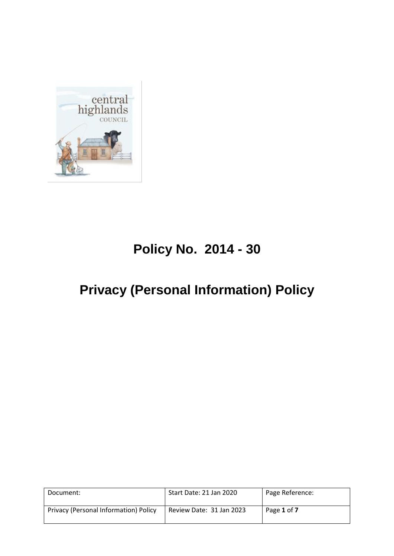

# **Policy No. 2014 - 30**

## **Privacy (Personal Information) Policy**

| Document:                             | Start Date: 21 Jan 2020  | Page Reference: |
|---------------------------------------|--------------------------|-----------------|
| Privacy (Personal Information) Policy | Review Date: 31 Jan 2023 | Page 1 of 7     |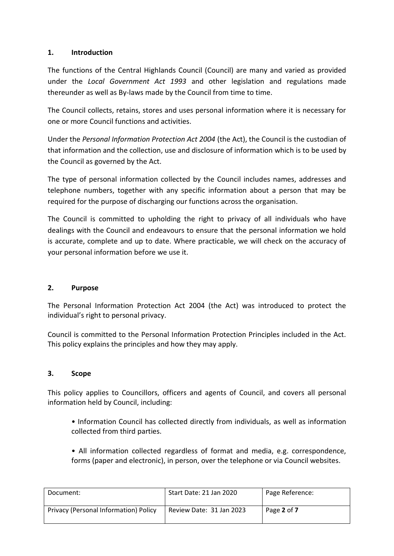## **1. Introduction**

The functions of the Central Highlands Council (Council) are many and varied as provided under the *Local Government Act 1993* and other legislation and regulations made thereunder as well as By-laws made by the Council from time to time.

The Council collects, retains, stores and uses personal information where it is necessary for one or more Council functions and activities.

Under the *Personal Information Protection Act 2004* (the Act), the Council is the custodian of that information and the collection, use and disclosure of information which is to be used by the Council as governed by the Act.

The type of personal information collected by the Council includes names, addresses and telephone numbers, together with any specific information about a person that may be required for the purpose of discharging our functions across the organisation.

The Council is committed to upholding the right to privacy of all individuals who have dealings with the Council and endeavours to ensure that the personal information we hold is accurate, complete and up to date. Where practicable, we will check on the accuracy of your personal information before we use it.

## **2. Purpose**

The Personal Information Protection Act 2004 (the Act) was introduced to protect the individual's right to personal privacy.

Council is committed to the Personal Information Protection Principles included in the Act. This policy explains the principles and how they may apply.

## **3. Scope**

This policy applies to Councillors, officers and agents of Council, and covers all personal information held by Council, including:

- Information Council has collected directly from individuals, as well as information collected from third parties.
- All information collected regardless of format and media, e.g. correspondence, forms (paper and electronic), in person, over the telephone or via Council websites.

| Document:                             | Start Date: 21 Jan 2020  | Page Reference: |
|---------------------------------------|--------------------------|-----------------|
| Privacy (Personal Information) Policy | Review Date: 31 Jan 2023 | Page 2 of 7     |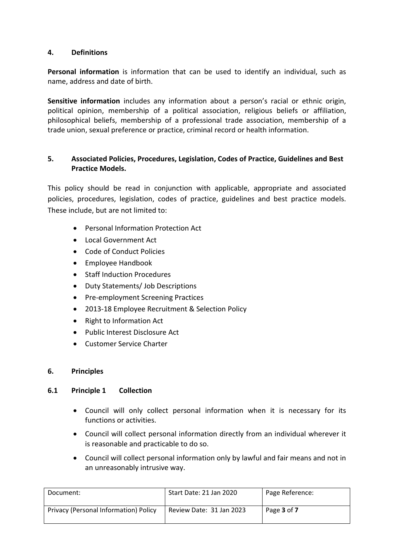## **4. Definitions**

**Personal information** is information that can be used to identify an individual, such as name, address and date of birth.

**Sensitive information** includes any information about a person's racial or ethnic origin, political opinion, membership of a political association, religious beliefs or affiliation, philosophical beliefs, membership of a professional trade association, membership of a trade union, sexual preference or practice, criminal record or health information.

## **5. Associated Policies, Procedures, Legislation, Codes of Practice, Guidelines and Best Practice Models.**

This policy should be read in conjunction with applicable, appropriate and associated policies, procedures, legislation, codes of practice, guidelines and best practice models. These include, but are not limited to:

- Personal Information Protection Act
- Local Government Act
- Code of Conduct Policies
- Employee Handbook
- Staff Induction Procedures
- Duty Statements/ Job Descriptions
- Pre-employment Screening Practices
- 2013-18 Employee Recruitment & Selection Policy
- Right to Information Act
- Public Interest Disclosure Act
- Customer Service Charter

#### **6. Principles**

#### **6.1 Principle 1 Collection**

- Council will only collect personal information when it is necessary for its functions or activities.
- Council will collect personal information directly from an individual wherever it is reasonable and practicable to do so.
- Council will collect personal information only by lawful and fair means and not in an unreasonably intrusive way.

| Document:                             | Start Date: 21 Jan 2020  | Page Reference: |
|---------------------------------------|--------------------------|-----------------|
| Privacy (Personal Information) Policy | Review Date: 31 Jan 2023 | Page 3 of 7     |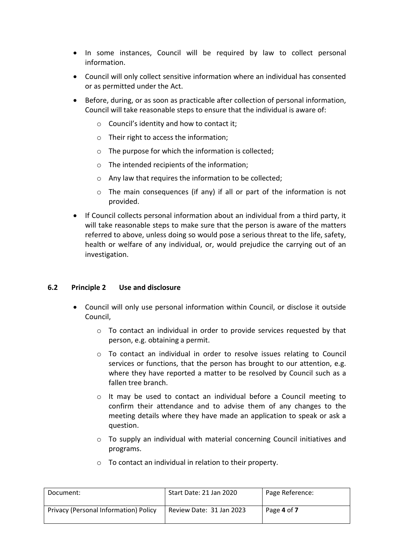- In some instances, Council will be required by law to collect personal information.
- Council will only collect sensitive information where an individual has consented or as permitted under the Act.
- Before, during, or as soon as practicable after collection of personal information, Council will take reasonable steps to ensure that the individual is aware of:
	- $\circ$  Council's identity and how to contact it;
	- o Their right to access the information;
	- o The purpose for which the information is collected;
	- o The intended recipients of the information;
	- o Any law that requires the information to be collected;
	- o The main consequences (if any) if all or part of the information is not provided.
- If Council collects personal information about an individual from a third party, it will take reasonable steps to make sure that the person is aware of the matters referred to above, unless doing so would pose a serious threat to the life, safety, health or welfare of any individual, or, would prejudice the carrying out of an investigation.

#### **6.2 Principle 2 Use and disclosure**

- Council will only use personal information within Council, or disclose it outside Council,
	- o To contact an individual in order to provide services requested by that person, e.g. obtaining a permit.
	- o To contact an individual in order to resolve issues relating to Council services or functions, that the person has brought to our attention, e.g. where they have reported a matter to be resolved by Council such as a fallen tree branch.
	- $\circ$  It may be used to contact an individual before a Council meeting to confirm their attendance and to advise them of any changes to the meeting details where they have made an application to speak or ask a question.
	- $\circ$  To supply an individual with material concerning Council initiatives and programs.
- Document: Start Date: 21 Jan 2020 Page Reference: Privacy (Personal Information) Policy Review Date: 31 Jan 2023 Page **4** of **7**
- o To contact an individual in relation to their property.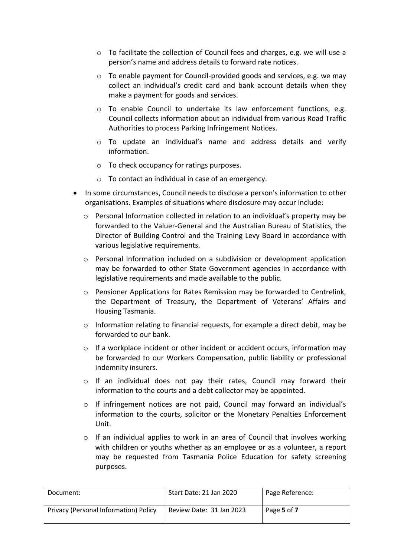- o To facilitate the collection of Council fees and charges, e.g. we will use a person's name and address details to forward rate notices.
- o To enable payment for Council-provided goods and services, e.g. we may collect an individual's credit card and bank account details when they make a payment for goods and services.
- $\circ$  To enable Council to undertake its law enforcement functions, e.g. Council collects information about an individual from various Road Traffic Authorities to process Parking Infringement Notices.
- o To update an individual's name and address details and verify information.
- o To check occupancy for ratings purposes.
- o To contact an individual in case of an emergency.
- In some circumstances, Council needs to disclose a person's information to other organisations. Examples of situations where disclosure may occur include:
	- o Personal Information collected in relation to an individual's property may be forwarded to the Valuer-General and the Australian Bureau of Statistics, the Director of Building Control and the Training Levy Board in accordance with various legislative requirements.
	- $\circ$  Personal Information included on a subdivision or development application may be forwarded to other State Government agencies in accordance with legislative requirements and made available to the public.
	- o Pensioner Applications for Rates Remission may be forwarded to Centrelink, the Department of Treasury, the Department of Veterans' Affairs and Housing Tasmania.
	- o Information relating to financial requests, for example a direct debit, may be forwarded to our bank.
	- $\circ$  If a workplace incident or other incident or accident occurs, information may be forwarded to our Workers Compensation, public liability or professional indemnity insurers.
	- o If an individual does not pay their rates, Council may forward their information to the courts and a debt collector may be appointed.
	- o If infringement notices are not paid, Council may forward an individual's information to the courts, solicitor or the Monetary Penalties Enforcement Unit.
	- $\circ$  If an individual applies to work in an area of Council that involves working with children or youths whether as an employee or as a volunteer, a report may be requested from Tasmania Police Education for safety screening purposes.

| Document:                             | Start Date: 21 Jan 2020  | Page Reference: |
|---------------------------------------|--------------------------|-----------------|
| Privacy (Personal Information) Policy | Review Date: 31 Jan 2023 | Page 5 of 7     |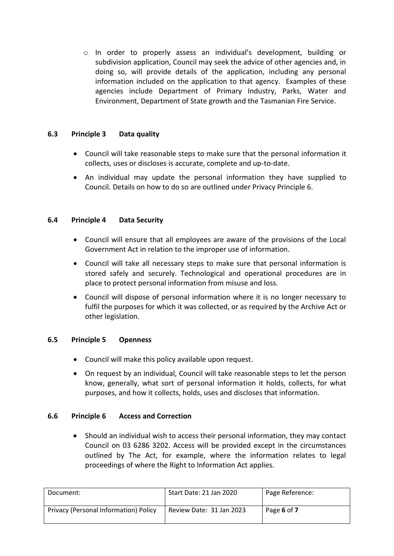o In order to properly assess an individual's development, building or subdivision application, Council may seek the advice of other agencies and, in doing so, will provide details of the application, including any personal information included on the application to that agency. Examples of these agencies include Department of Primary Industry, Parks, Water and Environment, Department of State growth and the Tasmanian Fire Service.

## **6.3 Principle 3 Data quality**

- Council will take reasonable steps to make sure that the personal information it collects, uses or discloses is accurate, complete and up-to-date.
- An individual may update the personal information they have supplied to Council. Details on how to do so are outlined under Privacy Principle 6.

#### **6.4 Principle 4 Data Security**

- Council will ensure that all employees are aware of the provisions of the Local Government Act in relation to the improper use of information.
- Council will take all necessary steps to make sure that personal information is stored safely and securely. Technological and operational procedures are in place to protect personal information from misuse and loss.
- Council will dispose of personal information where it is no longer necessary to fulfil the purposes for which it was collected, or as required by the Archive Act or other legislation.

#### **6.5 Principle 5 Openness**

- Council will make this policy available upon request.
- On request by an individual, Council will take reasonable steps to let the person know, generally, what sort of personal information it holds, collects, for what purposes, and how it collects, holds, uses and discloses that information.

## **6.6 Principle 6 Access and Correction**

 Should an individual wish to access their personal information, they may contact Council on 03 6286 3202. Access will be provided except in the circumstances outlined by The Act, for example, where the information relates to legal proceedings of where the Right to Information Act applies.

| Document:                             | Start Date: 21 Jan 2020  | Page Reference: |
|---------------------------------------|--------------------------|-----------------|
| Privacy (Personal Information) Policy | Review Date: 31 Jan 2023 | Page 6 of 7     |